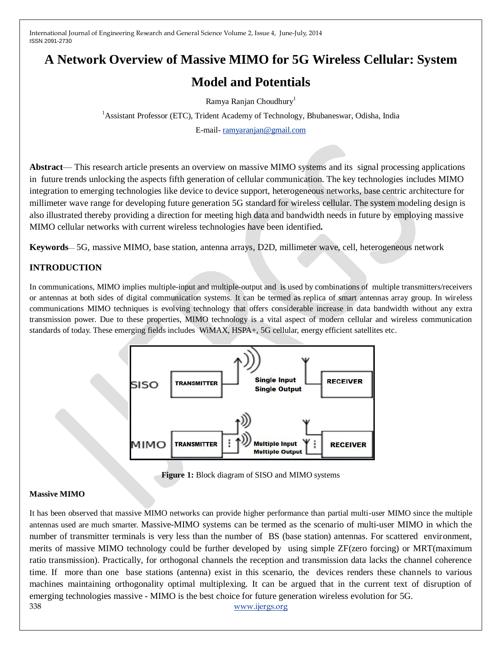# **A Network Overview of Massive MIMO for 5G Wireless Cellular: System**

# **Model and Potentials**

Ramya Ranjan Choudhury<sup>1</sup>

<sup>1</sup> Assistant Professor (ETC), Trident Academy of Technology, Bhubaneswar, Odisha, India

E-mail- [ramyaranjan@gmail.com](mailto:ramyaranjan@gmail.com)

**Abstract**— This research article presents an overview on massive MIMO systems and its signal processing applications in future trends unlocking the aspects fifth generation of cellular communication. The key technologies includes MIMO integration to emerging technologies like device to device support, heterogeneous networks, base centric architecture for millimeter wave range for developing future generation 5G standard for wireless cellular. The system modeling design is also illustrated thereby providing a direction for meeting high data and bandwidth needs in future by employing massive MIMO cellular networks with current wireless technologies have been identified**.**

**Keywords**— 5G, massive MIMO, base station, antenna arrays, D2D, millimeter wave, cell, heterogeneous network

## **INTRODUCTION**

In communications, MIMO implies multiple-input and multiple-output and is used by combinations of multiple transmitters/receivers or antennas at both sides of digital communication systems. It can be termed as replica of smart antennas array group. In wireless communications MIMO techniques is evolving technology that offers considerable increase in data bandwidth without any extra transmission power. Due to these properties, MIMO technology is a vital aspect of modern cellular and wireless communication standards of today. These emerging fields includes WiMAX, HSPA+, 5G cellular, energy efficient satellites etc.



**Figure 1:** Block diagram of SISO and MIMO systems

#### **Massive MIMO**

338 [www.ijergs.org](http://www.ijergs.org/) It has been observed that massive MIMO networks can provide higher performance than partial multi-user MIMO since the multiple antennas used are much smarter. Massive-MIMO systems can be termed as the scenario of multi-user MIMO in which the number of transmitter terminals is very less than the number of BS (base station) antennas. For scattered environment, merits of massive MIMO technology could be further developed by using simple ZF(zero forcing) or MRT(maximum ratio transmission). Practically, for orthogonal channels the reception and transmission data lacks the channel coherence time. If more than one base stations (antenna) exist in this scenario, the devices renders these channels to various machines maintaining orthogonality optimal multiplexing. It can be argued that in the current text of disruption of emerging technologies massive - MIMO is the best choice for future generation wireless evolution for 5G.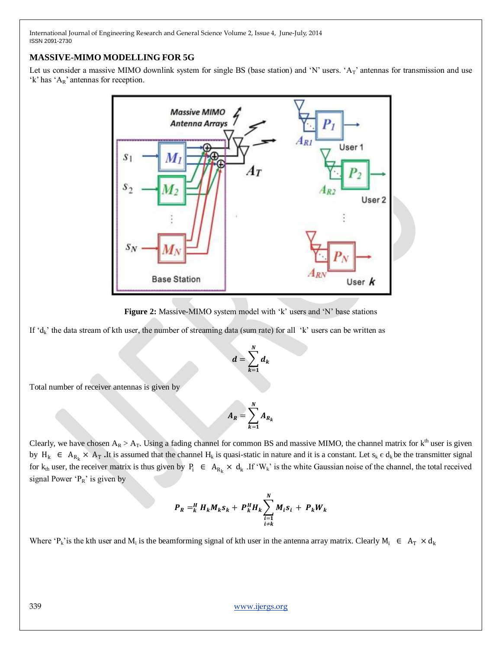### **MASSIVE-MIMO MODELLING FOR 5G**

Let us consider a massive MIMO downlink system for single BS (base station) and 'N' users. ' $A_T$ ' antennas for transmission and use 'k' has ' $A_R$ ' antennas for reception.



**Figure 2:** Massive-MIMO system model with 'k' users and 'N' base stations

If  $d_k$ ' the data stream of kth user, the number of streaming data (sum rate) for all  $k$ ' users can be written as

$$
d=\sum_{k=1}^N d_k
$$

Total number of receiver antennas is given by

$$
A_R = \sum_{k=1}^N A_{R_k}
$$

Clearly, we have chosen  $A_R > A_T$ . Using a fading channel for common BS and massive MIMO, the channel matrix for  $k^{th}$  user is given by  $H_k \in A_{R_k} \times A_T$ . It is assumed that the channel  $H_k$  is quasi-static in nature and it is a constant. Let  $s_k \in d_k$  be the transmitter signal for  $k_{th}$  user, the receiver matrix is thus given by  $P_i \in A_{R_k} \times d_k$ . If 'W<sub>k</sub>' is the white Gaussian noise of the channel, the total received signal Power  ${}^{c}P_{R}$ ' is given by

$$
P_R =_{k}^{H} H_k M_k S_k + P_k^{H} H_k \sum_{\substack{i=1 \ i \neq k}}^{N} M_i S_i + P_k W_k
$$

Where 'P<sub>k</sub>' is the kth user and M<sub>i</sub> is the beamforming signal of kth user in the antenna array matrix. Clearly M<sub>i</sub>  $\in A_T \times d_k$ 

339 [www.ijergs.org](http://www.ijergs.org/)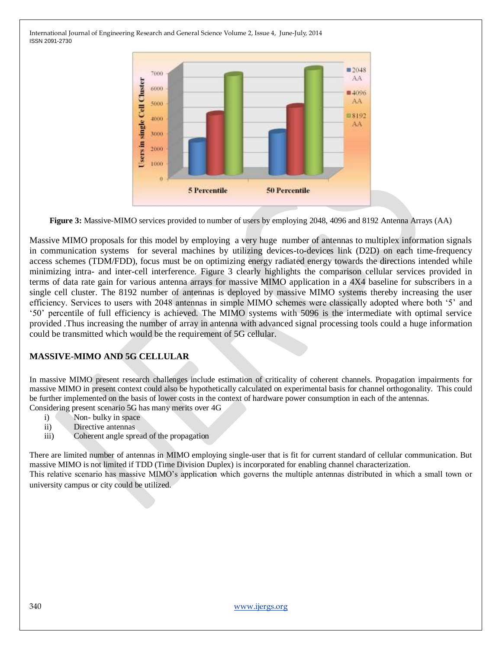

**Figure 3:** Massive-MIMO services provided to number of users by employing 2048, 4096 and 8192 Antenna Arrays (AA)

Massive MIMO proposals for this model by employing a very huge number of antennas to multiplex information signals in communication systems for several machines by utilizing devices-to-devices link (D2D) on each time-frequency access schemes (TDM/FDD), focus must be on optimizing energy radiated energy towards the directions intended while minimizing intra- and inter-cell interference. Figure 3 clearly highlights the comparison cellular services provided in terms of data rate gain for various antenna arrays for massive MIMO application in a 4X4 baseline for subscribers in a single cell cluster. The 8192 number of antennas is deployed by massive MIMO systems thereby increasing the user efficiency. Services to users with 2048 antennas in simple MIMO schemes were classically adopted where both '5' and ‗50' percentile of full efficiency is achieved. The MIMO systems with 5096 is the intermediate with optimal service provided .Thus increasing the number of array in antenna with advanced signal processing tools could a huge information could be transmitted which would be the requirement of 5G cellular.

#### **MASSIVE-MIMO AND 5G CELLULAR**

In massive MIMO present research challenges include estimation of criticality of coherent channels. Propagation impairments for massive MIMO in present context could also be hypothetically calculated on experimental basis for channel orthogonality. This could be further implemented on the basis of lower costs in the context of hardware power consumption in each of the antennas. Considering present scenario 5G has many merits over 4G

- i) Non- bulky in space
- ii) Directive antennas
- iii) Coherent angle spread of the propagation

There are limited number of antennas in MIMO employing single-user that is fit for current standard of cellular communication. But massive MIMO is not limited if TDD (Time Division Duplex) is incorporated for enabling channel characterization. This relative scenario has massive MIMO's application which governs the multiple antennas distributed in which a small town or university campus or city could be utilized.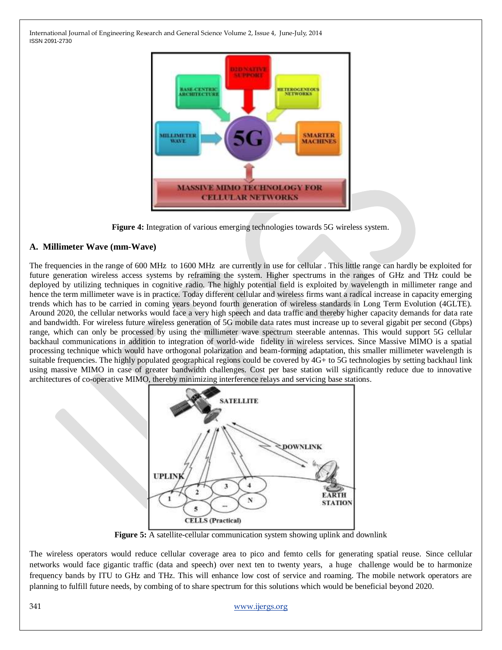

**Figure 4:** Integration of various emerging technologies towards 5G wireless system.

#### **A. Millimeter Wave (mm-Wave)**

The frequencies in the range of 600 MHz to 1600 MHz are currently in use for cellular . This little range can hardly be exploited for future generation wireless access systems by reframing the system. Higher spectrums in the ranges of GHz and THz could be deployed by utilizing techniques in cognitive radio. The highly potential field is exploited by wavelength in millimeter range and hence the term millimeter wave is in practice. Today different cellular and wireless firms want a radical increase in capacity emerging trends which has to be carried in coming years beyond fourth generation of wireless standards in Long Term Evolution (4GLTE). Around 2020, the cellular networks would face a very high speech and data traffic and thereby higher capacity demands for data rate and bandwidth. For wireless future wireless generation of 5G mobile data rates must increase up to several gigabit per second (Gbps) range, which can only be processed by using the millimeter wave spectrum steerable antennas. This would support 5G cellular backhaul communications in addition to integration of world-wide fidelity in wireless services. Since Massive MIMO is a spatial processing technique which would have orthogonal polarization and beam-forming adaptation, this smaller millimeter wavelength is suitable frequencies. The highly populated geographical regions could be covered by 4G+ to 5G technologies by setting backhaul link using massive MIMO in case of greater bandwidth challenges. Cost per base station will significantly reduce due to innovative architectures of co-operative MIMO, thereby minimizing interference relays and servicing base stations.



**Figure 5:** A satellite-cellular communication system showing uplink and downlink

The wireless operators would reduce cellular coverage area to pico and femto cells for generating spatial reuse. Since cellular networks would face gigantic traffic (data and speech) over next ten to twenty years, a huge challenge would be to harmonize frequency bands by ITU to GHz and THz. This will enhance low cost of service and roaming. The mobile network operators are planning to fulfill future needs, by combing of to share spectrum for this solutions which would be beneficial beyond 2020.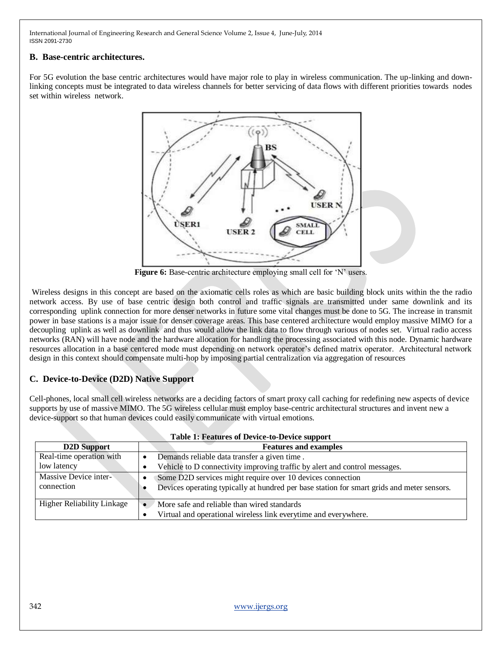#### **B. Base-centric architectures.**

For 5G evolution the base centric architectures would have major role to play in wireless communication. The up-linking and downlinking concepts must be integrated to data wireless channels for better servicing of data flows with different priorities towards nodes set within wireless network.



**Figure 6:** Base-centric architecture employing small cell for 'N' users.

Wireless designs in this concept are based on the axiomatic cells roles as which are basic building block units within the the radio network access. By use of base centric design both control and traffic signals are transmitted under same downlink and its corresponding uplink connection for more denser networks in future some vital changes must be done to 5G. The increase in transmit power in base stations is a major issue for denser coverage areas. This base centered architecture would employ massive MIMO for a decoupling uplink as well as downlink and thus would allow the link data to flow through various of nodes set. Virtual radio access networks (RAN) will have node and the hardware allocation for handling the processing associated with this node. Dynamic hardware resources allocation in a base centered mode must depending on network operator's defined matrix operator. Architectural network design in this context should compensate multi-hop by imposing partial centralization via aggregation of resources

### **C. Device-to-Device (D2D) Native Support**

Cell-phones, local small cell wireless networks are a deciding factors of smart proxy call caching for redefining new aspects of device supports by use of massive MIMO. The 5G wireless cellular must employ base-centric architectural structures and invent new a device-support so that human devices could easily communicate with virtual emotions.

| <b>Table 1: Features of Device-to-Device support</b> |                                                                                            |
|------------------------------------------------------|--------------------------------------------------------------------------------------------|
| <b>D2D</b> Support                                   | <b>Features and examples</b>                                                               |
| Real-time operation with                             | Demands reliable data transfer a given time.<br>$\bullet$                                  |
| low latency                                          | Vehicle to D connectivity improving traffic by alert and control messages.                 |
| Massive Device inter-                                | Some D2D services might require over 10 devices connection                                 |
| connection                                           | Devices operating typically at hundred per base station for smart grids and meter sensors. |
| <b>Higher Reliability Linkage</b>                    | More safe and reliable than wired standards                                                |
|                                                      | Virtual and operational wireless link everytime and everywhere.                            |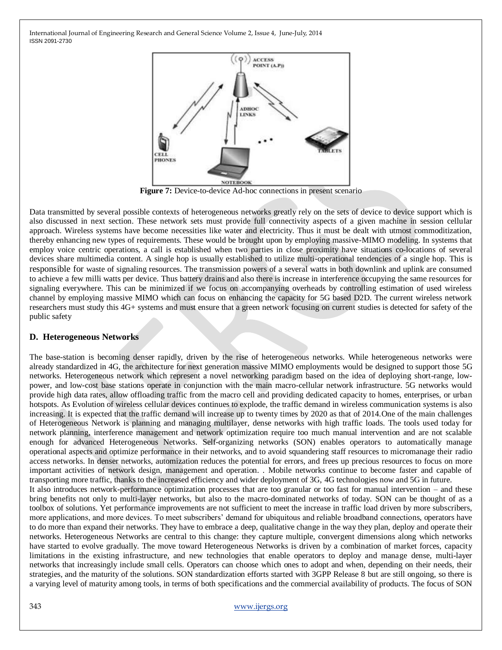

**Figure 7:** Device-to-device Ad-hoc connections in present scenario

Data transmitted by several possible contexts of heterogeneous networks greatly rely on the sets of device to device support which is also discussed in next section. These network sets must provide full connectivity aspects of a given machine in session cellular approach. Wireless systems have become necessities like water and electricity. Thus it must be dealt with utmost commoditization, thereby enhancing new types of requirements. These would be brought upon by employing massive-MIMO modeling. In systems that employ voice centric operations, a call is established when two parties in close proximity have situations co-locations of several devices share multimedia content. A single hop is usually established to utilize multi-operational tendencies of a single hop. This is responsible for waste of signaling resources. The transmission powers of a several watts in both downlink and uplink are consumed to achieve a few milli watts per device. Thus battery drains and also there is increase in interference occupying the same resources for signaling everywhere. This can be minimized if we focus on accompanying overheads by controlling estimation of used wireless channel by employing massive MIMO which can focus on enhancing the capacity for 5G based D2D. The current wireless network researchers must study this 4G+ systems and must ensure that a green network focusing on current studies is detected for safety of the public safety

#### **D. Heterogeneous Networks**

The base-station is becoming denser rapidly, driven by the rise of heterogeneous networks. While heterogeneous networks were already standardized in 4G, the architecture for next generation massive MIMO employments would be designed to support those 5G networks. Heterogeneous network which represent a novel networking paradigm based on the idea of deploying short-range, lowpower, and low-cost base stations operate in conjunction with the main macro-cellular network infrastructure. 5G networks would provide high data rates, allow offloading traffic from the macro cell and providing dedicated capacity to homes, enterprises, or urban hotspots. As Evolution of wireless cellular devices continues to explode, the traffic demand in wireless communication systems is also increasing. It is expected that the traffic demand will increase up to twenty times by 2020 as that of 2014.One of the main challenges of Heterogeneous Network is planning and managing multilayer, dense networks with high traffic loads. The tools used today for network planning, interference management and network optimization require too much manual intervention and are not scalable enough for advanced Heterogeneous Networks. Self-organizing networks (SON) enables operators to automatically manage operational aspects and optimize performance in their networks, and to avoid squandering staff resources to micromanage their radio access networks. In denser networks, automization reduces the potential for errors, and frees up precious resources to focus on more important activities of network design, management and operation. . Mobile networks continue to become faster and capable of transporting more traffic, thanks to the increased efficiency and wider deployment of 3G, 4G technologies now and 5G in future. It also introduces network-performance optimization processes that are too granular or too fast for manual intervention – and these bring benefits not only to multi-layer networks, but also to the macro-dominated networks of today. SON can be thought of as a toolbox of solutions. Yet performance improvements are not sufficient to meet the increase in traffic load driven by more subscribers, more applications, and more devices. To meet subscribers' demand for ubiquitous and reliable broadband connections, operators have to do more than expand their networks. They have to embrace a deep, qualitative change in the way they plan, deploy and operate their networks. Heterogeneous Networks are central to this change: they capture multiple, convergent dimensions along which networks have started to evolve gradually. The move toward Heterogeneous Networks is driven by a combination of market forces, capacity limitations in the existing infrastructure, and new technologies that enable operators to deploy and manage dense, multi-layer networks that increasingly include small cells. Operators can choose which ones to adopt and when, depending on their needs, their strategies, and the maturity of the solutions. SON standardization efforts started with 3GPP Release 8 but are still ongoing, so there is a varying level of maturity among tools, in terms of both specifications and the commercial availability of products. The focus of SON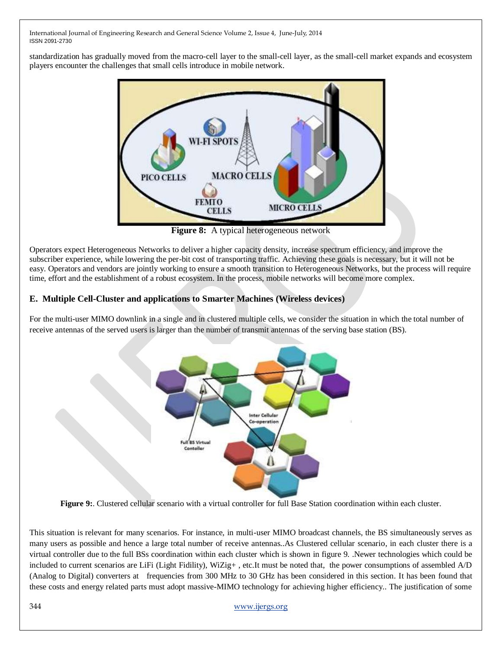standardization has gradually moved from the macro-cell layer to the small-cell layer, as the small-cell market expands and ecosystem players encounter the challenges that small cells introduce in mobile network.



**Figure 8:** A typical heterogeneous network

Operators expect Heterogeneous Networks to deliver a higher capacity density, increase spectrum efficiency, and improve the subscriber experience, while lowering the per-bit cost of transporting traffic. Achieving these goals is necessary, but it will not be easy. Operators and vendors are jointly working to ensure a smooth transition to Heterogeneous Networks, but the process will require time, effort and the establishment of a robust ecosystem. In the process, mobile networks will become more complex.

## **E. Multiple Cell-Cluster and applications to Smarter Machines (Wireless devices)**

For the multi-user MIMO downlink in a single and in clustered multiple cells, we consider the situation in which the total number of receive antennas of the served users is larger than the number of transmit antennas of the serving base station (BS).



**Figure 9:**. Clustered cellular scenario with a virtual controller for full Base Station coordination within each cluster.

This situation is relevant for many scenarios. For instance, in multi-user MIMO broadcast channels, the BS simultaneously serves as many users as possible and hence a large total number of receive antennas..As Clustered cellular scenario, in each cluster there is a virtual controller due to the full BSs coordination within each cluster which is shown in figure 9. .Newer technologies which could be included to current scenarios are LiFi (Light Fidility), WiZig+ , etc.It must be noted that, the power consumptions of assembled A/D (Analog to Digital) converters at frequencies from 300 MHz to 30 GHz has been considered in this section. It has been found that these costs and energy related parts must adopt massive-MIMO technology for achieving higher efficiency.. The justification of some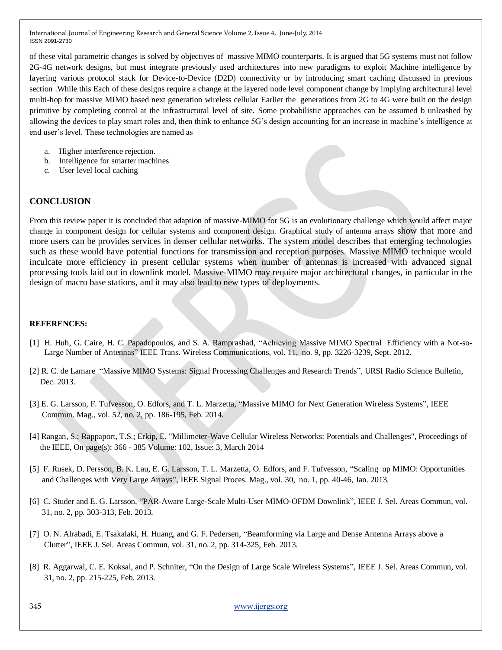of these vital parametric changes is solved by objectives of massive MIMO counterparts. It is argued that 5G systems must not follow 2G-4G network designs, but must integrate previously used architectures into new paradigms to exploit Machine intelligence by layering various protocol stack for Device-to-Device (D2D) connectivity or by introducing smart caching discussed in previous section .While this Each of these designs require a change at the layered node level component change by implying architectural level multi-hop for massive MIMO based next generation wireless cellular Earlier the generations from 2G to 4G were built on the design primitive by completing control at the infrastructural level of site. Some probabilistic approaches can be assumed b unleashed by allowing the devices to play smart roles and, then think to enhance 5G's design accounting for an increase in machine's intelligence at end user's level. These technologies are named as

- a. Higher interference rejection.
- b. Intelligence for smarter machines
- c. User level local caching

#### **CONCLUSION**

From this review paper it is concluded that adaption of massive-MIMO for 5G is an evolutionary challenge which would affect major change in component design for cellular systems and component design. Graphical study of antenna arrays show that more and more users can be provides services in denser cellular networks. The system model describes that emerging technologies such as these would have potential functions for transmission and reception purposes. Massive MIMO technique would inculcate more efficiency in present cellular systems when number of antennas is increased with advanced signal processing tools laid out in downlink model. Massive-MIMO may require major architectural changes, in particular in the design of macro base stations, and it may also lead to new types of deployments.

#### **REFERENCES:**

- [1] H. Huh, G. Caire, H. C. Papadopoulos, and S. A. Ramprashad, "Achieving Massive MIMO Spectral Efficiency with a Not-so-Large Number of Antennas" IEEE Trans. Wireless Communications, vol. 11, no. 9, pp. 3226-3239, Sept. 2012.
- [2] R. C. de Lamare "Massive MIMO Systems: Signal Processing Challenges and Research Trends", URSI Radio Science Bulletin, Dec. 2013.
- [3] E. G. Larsson, F. Tufvesson, O. Edfors, and T. L. Marzetta, "Massive MIMO for Next Generation Wireless Systems", IEEE Commun. Mag., vol. 52, no. 2, pp. 186-195, Feb. 2014.
- [4] Rangan, S.; Rappaport, T.S.; Erkip, E. "Millimeter-Wave Cellular Wireless Networks: Potentials and Challenges", Proceedings of the IEEE, On page(s): 366 - 385 Volume: 102, Issue: 3, March 2014
- [5] F. Rusek, D. Persson, B. K. Lau, E. G. Larsson, T. L. Marzetta, O. Edfors, and F. Tufvesson, "Scaling up MIMO: Opportunities and Challenges with Very Large Arrays", IEEE Signal Proces. Mag., vol. 30, no. 1, pp. 40-46, Jan. 2013.
- [6] C. Studer and E. G. Larsson, "PAR-Aware Large-Scale Multi-User MIMO-OFDM Downlink", IEEE J. Sel. Areas Commun, vol. 31, no. 2, pp. 303-313, Feb. 2013.
- [7] O. N. Alrabadi, E. Tsakalaki, H. Huang, and G. F. Pedersen, "Beamforming via Large and Dense Antenna Arrays above a Clutter‖, IEEE J. Sel. Areas Commun, vol. 31, no. 2, pp. 314-325, Feb. 2013.
- [8] R. Aggarwal, C. E. Koksal, and P. Schniter, "On the Design of Large Scale Wireless Systems", IEEE J. Sel. Areas Commun, vol. 31, no. 2, pp. 215-225, Feb. 2013.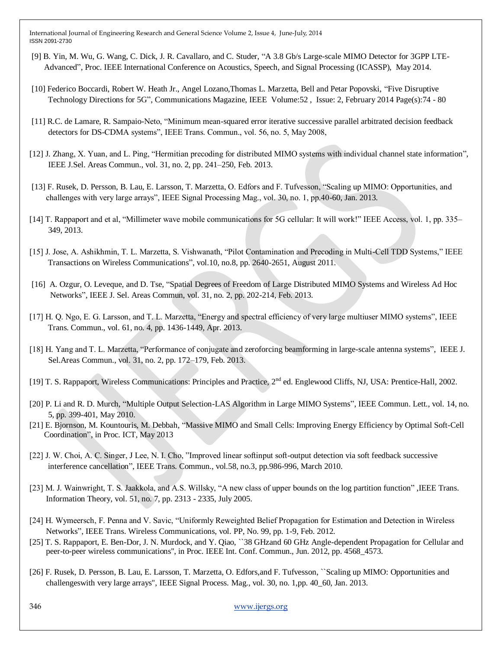- [9] B. Yin, M. Wu, G. Wang, C. Dick, J. R. Cavallaro, and C. Studer, "A 3.8 Gb/s Large-scale MIMO Detector for 3GPP LTE-Advanced‖, Proc. IEEE International Conference on Acoustics, Speech, and Signal Processing (ICASSP), May 2014.
- [10] Federico Boccardi, Robert W. Heath Jr., Angel Lozano,Thomas L. Marzetta, Bell and Petar Popovski, "Five Disruptive Technology Directions for 5G", Communications Magazine, IEEE Volume: 52, Issue: 2, February 2014 Page(s): 74 - 80
- [11] R.C. de Lamare, R. Sampaio-Neto, "Minimum mean-squared error iterative successive parallel arbitrated decision feedback detectors for DS-CDMA systems", IEEE Trans. Commun., vol. 56, no. 5, May 2008,
- [12] J. Zhang, X. Yuan, and L. Ping, "Hermitian precoding for distributed MIMO systems with individual channel state information", IEEE J.Sel. Areas Commun., vol. 31, no. 2, pp. 241–250, Feb. 2013.
- [13] F. Rusek, D. Persson, B. Lau, E. Larsson, T. Marzetta, O. Edfors and F. Tufvesson, "Scaling up MIMO: Opportunities, and challenges with very large arrays", IEEE Signal Processing Mag., vol. 30, no. 1, pp.40-60, Jan. 2013.
- [14] T. Rappaport and et al, "Millimeter wave mobile communications for 5G cellular: It will work!" IEEE Access, vol. 1, pp. 335– 349, 2013.
- [15] J. Jose, A. Ashikhmin, T. L. Marzetta, S. Vishwanath, "Pilot Contamination and Precoding in Multi-Cell TDD Systems," IEEE Transactions on Wireless Communications‖, vol.10, no.8, pp. 2640-2651, August 2011.
- [16] A. Ozgur, O. Leveque, and D. Tse, "Spatial Degrees of Freedom of Large Distributed MIMO Systems and Wireless Ad Hoc Networks", IEEE J. Sel. Areas Commun, vol. 31, no. 2, pp. 202-214, Feb. 2013.
- [17] H. Q. Ngo, E. G. Larsson, and T. L. Marzetta, "Energy and spectral efficiency of very large multiuser MIMO systems", IEEE Trans. Commun., vol. 61, no. 4, pp. 1436-1449, Apr. 2013.
- [18] H. Yang and T. L. Marzetta, "Performance of conjugate and zeroforcing beamforming in large-scale antenna systems", IEEE J. Sel.Areas Commun., vol. 31, no. 2, pp. 172–179, Feb. 2013.
- [19] T. S. Rappaport, Wireless Communications: Principles and Practice, 2<sup>nd</sup> ed. Englewood Cliffs, NJ, USA: Prentice-Hall, 2002.
- [20] P. Li and R. D. Murch, "Multiple Output Selection-LAS Algorithm in Large MIMO Systems", IEEE Commun. Lett., vol. 14, no. 5, pp. 399-401, May 2010.
- [21] E. Bjornson, M. Kountouris, M. Debbah, "Massive MIMO and Small Cells: Improving Energy Efficiency by Optimal Soft-Cell Coordination", in Proc. ICT, May 2013
- [22] J. W. Choi, A. C. Singer, J Lee, N. I. Cho, "Improved linear softinput soft-output detection via soft feedback successive interference cancellation", IEEE Trans. Commun., vol.58, no.3, pp.986-996, March 2010.
- [23] M. J. Wainwright, T. S. Jaakkola, and A.S. Willsky, "A new class of upper bounds on the log partition function", IEEE Trans. Information Theory, vol. 51, no. 7, pp. 2313 - 2335, July 2005.
- [24] H. Wymeersch, F. Penna and V. Savic, "Uniformly Reweighted Belief Propagation for Estimation and Detection in Wireless Networks‖, IEEE Trans. Wireless Communications, vol. PP, No. 99, pp. 1-9, Feb. 2012.
- [25] T. S. Rappaport, E. Ben-Dor, J. N. Murdock, and Y. Qiao, ``38 GHzand 60 GHz Angle-dependent Propagation for Cellular and peer-to-peer wireless communications'', in Proc. IEEE Int. Conf. Commun., Jun. 2012, pp. 4568\_4573.
- [26] F. Rusek, D. Persson, B. Lau, E. Larsson, T. Marzetta, O. Edfors,and F. Tufvesson, ``Scaling up MIMO: Opportunities and challengeswith very large arrays'', IEEE Signal Process. Mag., vol. 30, no. 1,pp. 40\_60, Jan. 2013.